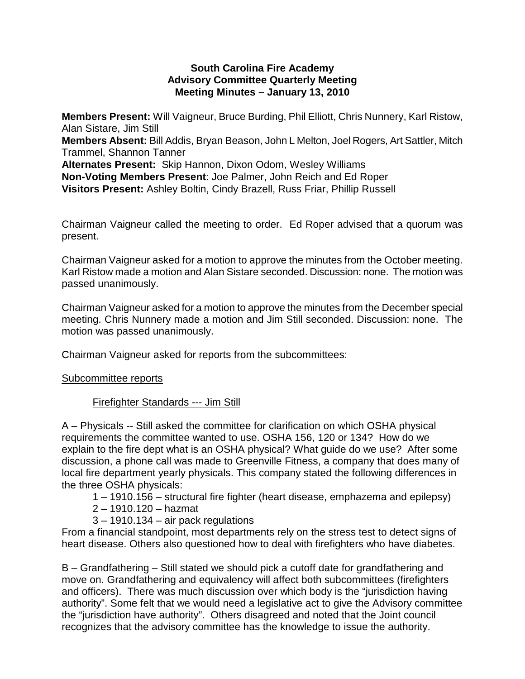#### **South Carolina Fire Academy Advisory Committee Quarterly Meeting Meeting Minutes – January 13, 2010**

**Members Present:** Will Vaigneur, Bruce Burding, Phil Elliott, Chris Nunnery, Karl Ristow, Alan Sistare, Jim Still

**Members Absent:** Bill Addis, Bryan Beason, John L Melton, Joel Rogers, Art Sattler, Mitch Trammel, Shannon Tanner

**Alternates Present:** Skip Hannon, Dixon Odom, Wesley Williams **Non-Voting Members Present**: Joe Palmer, John Reich and Ed Roper **Visitors Present:** Ashley Boltin, Cindy Brazell, Russ Friar, Phillip Russell

Chairman Vaigneur called the meeting to order. Ed Roper advised that a quorum was present.

Chairman Vaigneur asked for a motion to approve the minutes from the October meeting. Karl Ristow made a motion and Alan Sistare seconded. Discussion: none. The motion was passed unanimously.

Chairman Vaigneur asked for a motion to approve the minutes from the December special meeting. Chris Nunnery made a motion and Jim Still seconded. Discussion: none. The motion was passed unanimously.

Chairman Vaigneur asked for reports from the subcommittees:

### Subcommittee reports

# Firefighter Standards --- Jim Still

A – Physicals -- Still asked the committee for clarification on which OSHA physical requirements the committee wanted to use. OSHA 156, 120 or 134? How do we explain to the fire dept what is an OSHA physical? What guide do we use? After some discussion, a phone call was made to Greenville Fitness, a company that does many of local fire department yearly physicals. This company stated the following differences in the three OSHA physicals:

1 – 1910.156 – structural fire fighter (heart disease, emphazema and epilepsy)

- 2 1910.120 hazmat
- $3 1910.134 -$  air pack regulations

From a financial standpoint, most departments rely on the stress test to detect signs of heart disease. Others also questioned how to deal with firefighters who have diabetes.

B – Grandfathering – Still stated we should pick a cutoff date for grandfathering and move on. Grandfathering and equivalency will affect both subcommittees (firefighters and officers). There was much discussion over which body is the "jurisdiction having authority". Some felt that we would need a legislative act to give the Advisory committee the "jurisdiction have authority". Others disagreed and noted that the Joint council recognizes that the advisory committee has the knowledge to issue the authority.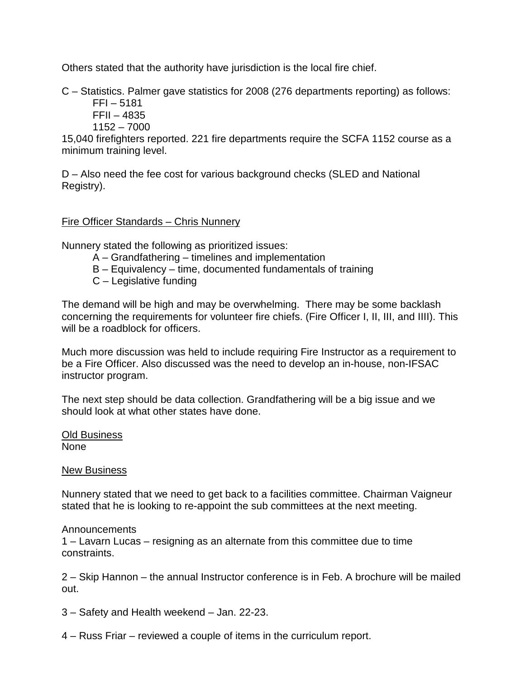Others stated that the authority have jurisdiction is the local fire chief.

C – Statistics. Palmer gave statistics for 2008 (276 departments reporting) as follows:

FFI – 5181 FFII – 4835

1152 – 7000

15,040 firefighters reported. 221 fire departments require the SCFA 1152 course as a minimum training level.

D – Also need the fee cost for various background checks (SLED and National Registry).

# Fire Officer Standards – Chris Nunnery

Nunnery stated the following as prioritized issues:

- A Grandfathering timelines and implementation
- B Equivalency time, documented fundamentals of training
- C Legislative funding

The demand will be high and may be overwhelming. There may be some backlash concerning the requirements for volunteer fire chiefs. (Fire Officer I, II, III, and IIII). This will be a roadblock for officers.

Much more discussion was held to include requiring Fire Instructor as a requirement to be a Fire Officer. Also discussed was the need to develop an in-house, non-IFSAC instructor program.

The next step should be data collection. Grandfathering will be a big issue and we should look at what other states have done.

Old Business None

**New Business** 

Nunnery stated that we need to get back to a facilities committee. Chairman Vaigneur stated that he is looking to re-appoint the sub committees at the next meeting.

### Announcements

1 – Lavarn Lucas – resigning as an alternate from this committee due to time constraints.

2 – Skip Hannon – the annual Instructor conference is in Feb. A brochure will be mailed out.

3 – Safety and Health weekend – Jan. 22-23.

4 – Russ Friar – reviewed a couple of items in the curriculum report.